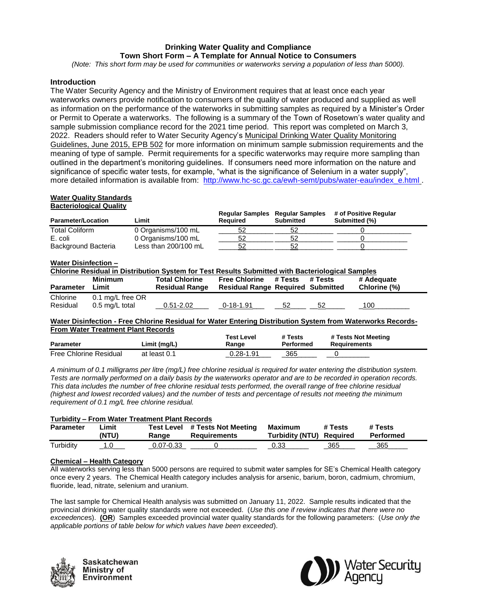# **Drinking Water Quality and Compliance Town Short Form – A Template for Annual Notice to Consumers**

*(Note: This short form may be used for communities or waterworks serving a population of less than 5000).*

## **Introduction**

The Water Security Agency and the Ministry of Environment requires that at least once each year waterworks owners provide notification to consumers of the quality of water produced and supplied as well as information on the performance of the waterworks in submitting samples as required by a Minister's Order or Permit to Operate a waterworks. The following is a summary of the Town of Rosetown's water quality and sample submission compliance record for the 2021 time period. This report was completed on March 3, 2022. Readers should refer to Water Security Agency's Municipal Drinking Water Quality Monitoring Guidelines, June 2015, EPB 502 for more information on minimum sample submission requirements and the meaning of type of sample. Permit requirements for a specific waterworks may require more sampling than outlined in the department's monitoring guidelines. If consumers need more information on the nature and significance of specific water tests, for example, "what is the significance of Selenium in a water supply", more detailed information is available from: [http://www.hc-sc.gc.ca/ewh-semt/pubs/water-eau/index\\_e.html](http://www.hc-sc.gc.ca/ewh-semt/pubs/water-eau/index_e.html) .

#### **Water Quality Standards Bacteriological Quality**

| <b>Parameter/Location</b> | Limit                | Reauired | <b>Regular Samples Regular Samples</b><br>Submitted | # of Positive Regular<br>Submitted (%) |
|---------------------------|----------------------|----------|-----------------------------------------------------|----------------------------------------|
| <b>Total Coliform</b>     | 0 Organisms/100 mL   |          |                                                     |                                        |
| E. coli                   | 0 Organisms/100 mL   | 52       |                                                     |                                        |
| Background Bacteria       | Less than 200/100 mL | 52       |                                                     |                                        |

### **Water Disinfection –**

| Chlorine Residual in Distribution System for Test Results Submitted with Bacteriological Samples |                  |                       |                                          |         |         |              |
|--------------------------------------------------------------------------------------------------|------------------|-----------------------|------------------------------------------|---------|---------|--------------|
|                                                                                                  | Minimum          | <b>Total Chlorine</b> | <b>Free Chlorine</b>                     | # Tests | # Tests | # Adequate   |
| <b>Parameter</b>                                                                                 | Limit            | <b>Residual Range</b> | <b>Residual Range Required Submitted</b> |         |         | Chlorine (%) |
| Chlorine                                                                                         | 0.1 mg/L free OR |                       |                                          |         |         |              |
| Residual                                                                                         | 0.5 mg/L total   | $0.51 - 2.02$         | $0 - 18 - 1.91$                          | 52      | 52      | 100          |

### **Water Disinfection - Free Chlorine Residual for Water Entering Distribution System from Waterworks Records-From Water Treatment Plant Records**

| <b>Parameter</b>              | Limit (mg/L) | Test Level<br>Range | # Tests<br>Performed | # Tests Not Meeting<br><b>Requirements</b> |
|-------------------------------|--------------|---------------------|----------------------|--------------------------------------------|
| <b>Free Chlorine Residual</b> | at least 0.1 | 0.28-1.91           | 365                  |                                            |

*A minimum of 0.1 milligrams per litre (mg/L) free chlorine residual is required for water entering the distribution system. Tests are normally performed on a daily basis by the waterworks operator and are to be recorded in operation records. This data includes the number of free chlorine residual tests performed, the overall range of free chlorine residual (highest and lowest recorded values) and the number of tests and percentage of results not meeting the minimum requirement of 0.1 mg/L free chlorine residual.*

| <b>Turbidity - From Water Treatment Plant Records</b> |                |                     |                                            |                                     |         |                      |  |
|-------------------------------------------------------|----------------|---------------------|--------------------------------------------|-------------------------------------|---------|----------------------|--|
| <b>Parameter</b>                                      | .imit<br>(NTU) | Test Level<br>Ranɑe | # Tests Not Meeting<br><b>Requirements</b> | Maximum<br>Turbidity (NTU) Required | # Tests | # Tests<br>Performed |  |
| Turbidity                                             |                | 0.07-0.33           |                                            | 0.33                                | 365     | 365                  |  |

## **Chemical – Health Category**

All waterworks serving less than 5000 persons are required to submit water samples for SE's Chemical Health category once every 2 years. The Chemical Health category includes analysis for arsenic, barium, boron, cadmium, chromium, fluoride, lead, nitrate, selenium and uranium.

The last sample for Chemical Health analysis was submitted on January 11, 2022. Sample results indicated that the provincial drinking water quality standards were not exceeded. (*Use this one if review indicates that there were no exceedence*s). **(OR**) Samples exceeded provincial water quality standards for the following parameters: (*Use only the applicable portions of table below for which values have been exceeded*).



Saskatchewan Ministry of **Environment**